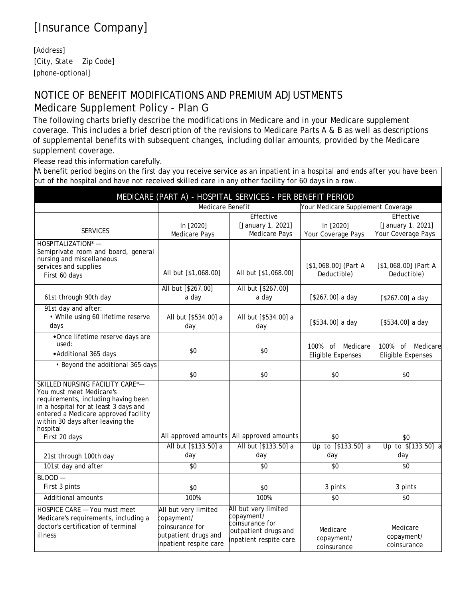## [Insurance Company]

[Address] [City, State Zip Code] [phone-optional]

## NOTICE OF BENEFIT MODIFICATIONS AND PREMIUM ADJUSTMENTS Medicare Supplement Policy - Plan G

The following charts briefly describe the modifications in Medicare and in your Medicare supplement coverage. This includes a brief description of the revisions to Medicare Parts A & B as well as descriptions of supplemental benefits with subsequent changes, including dollar amounts, provided by the Medicare supplement coverage.

Please read this information carefully.

\*A benefit period begins on the first day you receive service as an inpatient in a hospital and ends after you have been out of the hospital and have not received skilled care in any other facility for 60 days in a row.

| MEDICARE (PART A) - HOSPITAL SERVICES - PER BENEFIT PERIOD                                                                                                                                                                          |                                                                                                         |                                                                                                         |                                              |                                                      |  |  |
|-------------------------------------------------------------------------------------------------------------------------------------------------------------------------------------------------------------------------------------|---------------------------------------------------------------------------------------------------------|---------------------------------------------------------------------------------------------------------|----------------------------------------------|------------------------------------------------------|--|--|
|                                                                                                                                                                                                                                     | <b>Medicare Benefit</b>                                                                                 |                                                                                                         | Your Medicare Supplement Coverage            |                                                      |  |  |
| <b>SERVICES</b>                                                                                                                                                                                                                     | In [2020]<br><b>Medicare Pays</b>                                                                       | Effective<br>[January 1, 2021]<br>Medicare Pays                                                         | In [2020]<br>Your Coverage Pays              | Effective<br>[January 1, 2021]<br>Your Coverage Pays |  |  |
| HOSPITALIZATION* -<br>Semiprivate room and board, general<br>nursing and miscellaneous<br>services and supplies<br>First 60 days                                                                                                    | All but [\$1,068.00]                                                                                    | All but [\$1,068.00]                                                                                    | [\$1,068.00] (Part A<br>Deductible)          | $[$1,068.00]$ (Part A<br>Deductible)                 |  |  |
| 61st through 90th day                                                                                                                                                                                                               | All but [\$267.00]<br>a day                                                                             | All but [\$267.00]<br>a day                                                                             | [\$267.00] a day                             | $[$267.00]$ a day                                    |  |  |
| 91st day and after:<br>• While using 60 lifetime reserve<br>days                                                                                                                                                                    | All but [\$534.00] a<br>day                                                                             | All but [\$534.00] a<br>day                                                                             | $[$534.00]$ a day                            | $[$534.00]$ a day                                    |  |  |
| •Once lifetime reserve days are<br>used:<br>• Additional 365 days                                                                                                                                                                   | \$0                                                                                                     | \$0                                                                                                     | 100% of Medicare<br><b>Eligible Expenses</b> | 100% of Medicare<br><b>Eligible Expenses</b>         |  |  |
| • Beyond the additional 365 days                                                                                                                                                                                                    | \$0                                                                                                     | \$0                                                                                                     | \$0                                          | \$0                                                  |  |  |
| SKILLED NURSING FACILITY CARE*-<br>You must meet Medicare's<br>requirements, including having been<br>in a hospital for at least 3 days and<br>entered a Medicare approved facility<br>within 30 days after leaving the<br>hospital |                                                                                                         |                                                                                                         |                                              |                                                      |  |  |
| First 20 days                                                                                                                                                                                                                       |                                                                                                         | All approved amounts All approved amounts                                                               | \$0                                          | \$0                                                  |  |  |
| 21st through 100th day                                                                                                                                                                                                              | All but [\$133.50] a<br>day                                                                             | All but [\$133.50] a<br>day                                                                             | Up to [\$133.50] a<br>day                    | Up to \$[133.50] a<br>day                            |  |  |
| 101st day and after                                                                                                                                                                                                                 | \$0                                                                                                     | \$0                                                                                                     | \$0                                          | \$0                                                  |  |  |
| $BLOOD -$<br>First 3 pints                                                                                                                                                                                                          | \$0                                                                                                     | \$0                                                                                                     | 3 pints                                      | 3 pints                                              |  |  |
| Additional amounts                                                                                                                                                                                                                  | 100%                                                                                                    | 100%                                                                                                    | \$0                                          | \$0                                                  |  |  |
| HOSPICE CARE - You must meet<br>Medicare's requirements, including a<br>doctor's certification of terminal<br>illness                                                                                                               | All but very limited<br>copayment/<br>coinsurance for<br>outpatient drugs and<br>inpatient respite care | All but very limited<br>copayment⁄<br>coinsurance for<br>outpatient drugs and<br>inpatient respite care | Medicare<br>copayment/<br>coinsurance        | Medicare<br>copayment/<br>coinsurance                |  |  |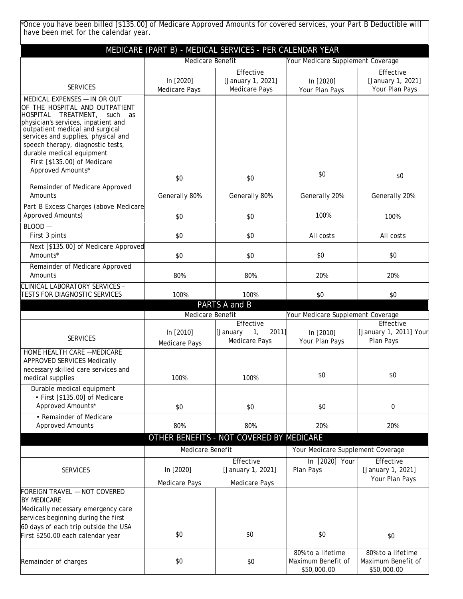| Once you have been billed [\$135.00] of Medicare Approved Amounts for covered services, your Part B Deductible will*<br>have been met for the calendar year.                                                                                                                                                                                |                                                                           |                                                          |                                                        |                                                        |
|---------------------------------------------------------------------------------------------------------------------------------------------------------------------------------------------------------------------------------------------------------------------------------------------------------------------------------------------|---------------------------------------------------------------------------|----------------------------------------------------------|--------------------------------------------------------|--------------------------------------------------------|
|                                                                                                                                                                                                                                                                                                                                             |                                                                           | MEDICARE (PART B) - MEDICAL SERVICES - PER CALENDAR YEAR |                                                        |                                                        |
|                                                                                                                                                                                                                                                                                                                                             | Medicare Benefit                                                          |                                                          | Your Medicare Supplement Coverage                      |                                                        |
| <b>SERVICES</b>                                                                                                                                                                                                                                                                                                                             | In [2020]<br><b>Medicare Pays</b>                                         | Effective<br>[January 1, 2021]<br><b>Medicare Pays</b>   | In [2020]<br>Your Plan Pays                            | Effective<br>[January 1, 2021]<br>Your Plan Pays       |
| MEDICAL EXPENSES - IN OR OUT<br>OF THE HOSPITAL AND OUTPATIENT<br>HOSPITAL TREATMENT.<br>such<br>as<br>physician's services, inpatient and<br>outpatient medical and surgical<br>services and supplies, physical and<br>speech therapy, diagnostic tests,<br>durable medical equipment<br>First [\$135.00] of Medicare<br>Approved Amounts* | \$0                                                                       | \$0                                                      | \$0                                                    | \$0                                                    |
| Remainder of Medicare Approved                                                                                                                                                                                                                                                                                                              |                                                                           |                                                          |                                                        |                                                        |
| Amounts                                                                                                                                                                                                                                                                                                                                     | Generally 80%                                                             | Generally 80%                                            | Generally 20%                                          | Generally 20%                                          |
| Part B Excess Charges (above Medicare<br>Approved Amounts)                                                                                                                                                                                                                                                                                  | \$0                                                                       | \$0                                                      | 100%                                                   | 100%                                                   |
| $BLOOD -$<br>First 3 pints                                                                                                                                                                                                                                                                                                                  | \$0                                                                       | \$0                                                      | All costs                                              | All costs                                              |
| Next [\$135.00] of Medicare Approved<br>Amounts*                                                                                                                                                                                                                                                                                            | \$0                                                                       | \$0                                                      | \$0                                                    | \$0                                                    |
| Remainder of Medicare Approved<br>Amounts                                                                                                                                                                                                                                                                                                   | 80%                                                                       | 80%                                                      | 20%                                                    | 20%                                                    |
| CLINICAL LABORATORY SERVICES -<br>TESTS FOR DIAGNOSTIC SERVICES                                                                                                                                                                                                                                                                             | 100%                                                                      | 100%                                                     | \$0                                                    | \$0                                                    |
|                                                                                                                                                                                                                                                                                                                                             |                                                                           | PARTS A and B                                            |                                                        |                                                        |
|                                                                                                                                                                                                                                                                                                                                             | Medicare Benefit                                                          | Effective                                                | Your Medicare Supplement Coverage                      | Effective                                              |
| <b>SERVICES</b>                                                                                                                                                                                                                                                                                                                             | In [2010]<br>Medicare Pays                                                | 1 <sub>1</sub><br>2011]<br>[January<br>Medicare Pays     | In [2010]<br>Your Plan Pays                            | [January 1, 2011] Your<br>Plan Pays                    |
| HOME HEALTH CARE -MEDICARE<br>APPROVED SERVICES Medically<br>necessary skilled care services and<br>medical supplies<br>Durable medical equipment                                                                                                                                                                                           | 100%                                                                      | 100%                                                     | \$0                                                    | \$0                                                    |
| • First [\$135.00] of Medicare<br>Approved Amounts*                                                                                                                                                                                                                                                                                         | \$0                                                                       | \$0                                                      | \$0                                                    | 0                                                      |
| • Remainder of Medicare<br><b>Approved Amounts</b>                                                                                                                                                                                                                                                                                          | 80%                                                                       | 80%                                                      | 20%                                                    | 20%                                                    |
|                                                                                                                                                                                                                                                                                                                                             |                                                                           |                                                          |                                                        |                                                        |
|                                                                                                                                                                                                                                                                                                                                             | OTHER BENEFITS - NOT COVERED BY MEDICARE<br>Medicare Benefit<br>Effective |                                                          | Your Medicare Supplement Coverage                      |                                                        |
|                                                                                                                                                                                                                                                                                                                                             |                                                                           |                                                          | Effective<br>In [2020] Your                            |                                                        |
| <b>SERVICES</b>                                                                                                                                                                                                                                                                                                                             | In [2020]                                                                 | [January 1, 2021]                                        | Plan Pays                                              | [January 1, 2021]<br>Your Plan Pays                    |
| FOREIGN TRAVEL - NOT COVERED<br><b>BY MEDICARE</b><br>Medically necessary emergency care<br>services beginning during the first<br>60 days of each trip outside the USA                                                                                                                                                                     | Medicare Pays                                                             | Medicare Pays                                            |                                                        |                                                        |
| First \$250.00 each calendar year                                                                                                                                                                                                                                                                                                           | \$0                                                                       | \$0                                                      | \$0                                                    | \$0                                                    |
| Remainder of charges                                                                                                                                                                                                                                                                                                                        | \$0                                                                       | \$0                                                      | 80% to a lifetime<br>Maximum Benefit of<br>\$50,000.00 | 80% to a lifetime<br>Maximum Benefit of<br>\$50,000.00 |